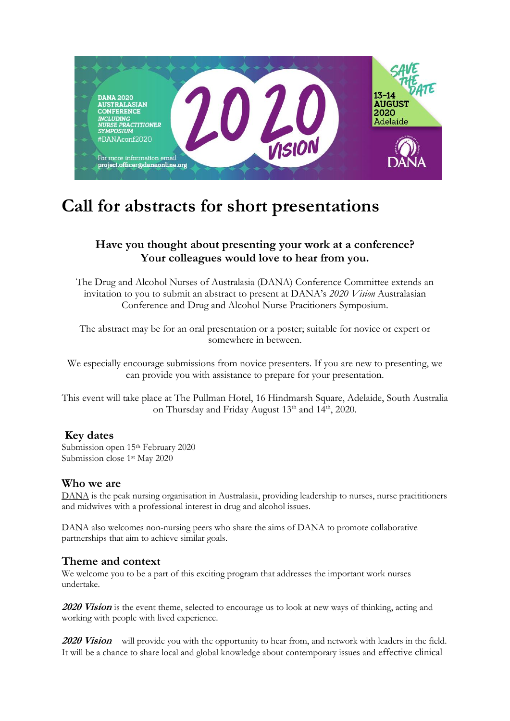

# **Call for abstracts for short presentations**

# **Have you thought about presenting your work at a conference? Your colleagues would love to hear from you.**

The Drug and Alcohol Nurses of Australasia (DANA) Conference Committee extends an invitation to you to submit an abstract to present at DANA's *2020 Vision* Australasian Conference and Drug and Alcohol Nurse Pracitioners Symposium.

The abstract may be for an oral presentation or a poster; suitable for novice or expert or somewhere in between.

We especially encourage submissions from novice presenters. If you are new to presenting, we can provide you with assistance to prepare for your presentation.

This event will take place at The Pullman Hotel, 16 Hindmarsh Square, Adelaide, South Australia on Thursday and Friday August 13<sup>th</sup> and 14<sup>th</sup>, 2020.

### **Key dates**

Submission open 15th February 2020 Submission close 1st May 2020

#### **Who we are**

[DANA](https://www.danaonline.org/people/) is the peak nursing organisation in Australasia, providing leadership to nurses, nurse pracititioners and midwives with a professional interest in drug and alcohol issues.

DANA also welcomes non-nursing peers who share the aims of DANA to promote collaborative partnerships that aim to achieve similar goals.

### **Theme and context**

We welcome you to be a part of this exciting program that addresses the important work nurses undertake.

**2020 Vision** is the event theme, selected to encourage us to look at new ways of thinking, acting and working with people with lived experience.

**2020 Vision** will provide you with the opportunity to hear from, and network with leaders in the field. It will be a chance to share local and global knowledge about contemporary issues and effective clinical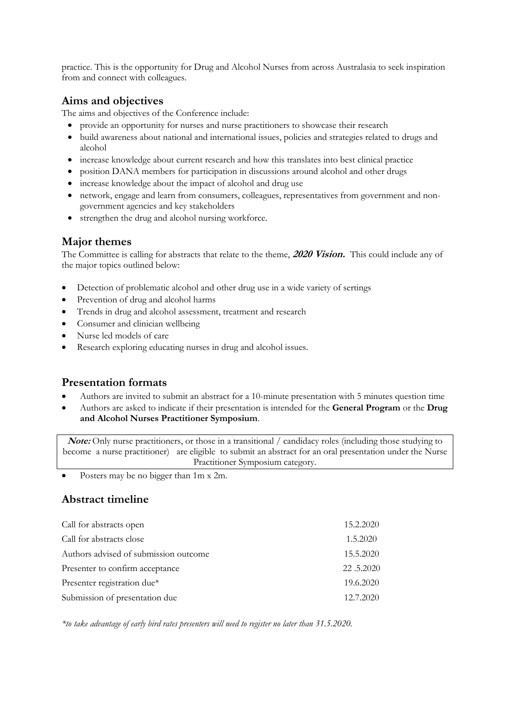practice. This is the opportunity for Drug and Alcohol Nurses from across Australasia to seek inspiration from and connect with colleagues.

## **Aims and objectives**

The aims and objectives of the Conference include:

- provide an opportunity for nurses and nurse practitioners to showcase their research
- build awareness about national and international issues, policies and strategies related to drugs and alcohol
- increase knowledge about current research and how this translates into best clinical practice
- position DANA members for participation in discussions around alcohol and other drugs
- increase knowledge about the impact of alcohol and drug use
- network, engage and learn from consumers, colleagues, representatives from government and nongovernment agencies and key stakeholders
- strengthen the drug and alcohol nursing workforce.

## **Major themes**

The Committee is calling for abstracts that relate to the theme, **2020 Vision.** This could include any of the major topics outlined below:

- Detection of problematic alcohol and other drug use in a wide variety of sertings
- Prevention of drug and alcohol harms
- Trends in drug and alcohol assessment, treatment and research
- Consumer and clinician wellbeing
- Nurse led models of care
- Research exploring educating nurses in drug and alcohol issues.

## **Presentation formats**

- Authors are invited to submit an abstract for a 10-minute presentation with 5 minutes question time
- Authors are asked to indicate if their presentation is intended for the **General Program** or the **Drug and Alcohol Nurses Practitioner Symposium**.

**Note:** Only nurse practitioners, or those in a transitional / candidacy roles (including those studying to become a nurse practitioner) are eligible to submit an abstract for an oral presentation under the Nurse Practitioner Symposium category.

• Posters may be no bigger than 1m x 2m.

## **Abstract timeline**

| Call for abstracts open               | 15.2.2020 |
|---------------------------------------|-----------|
| Call for abstracts close              | 1.5.2020  |
| Authors advised of submission outcome | 15.5.2020 |
| Presenter to confirm acceptance       | 22.5.2020 |
| Presenter registration due*           | 19.6.2020 |
| Submission of presentation due        | 12.7.2020 |

*\*to take advantage of early bird rates presenters will need to register no later than 31.5.2020.*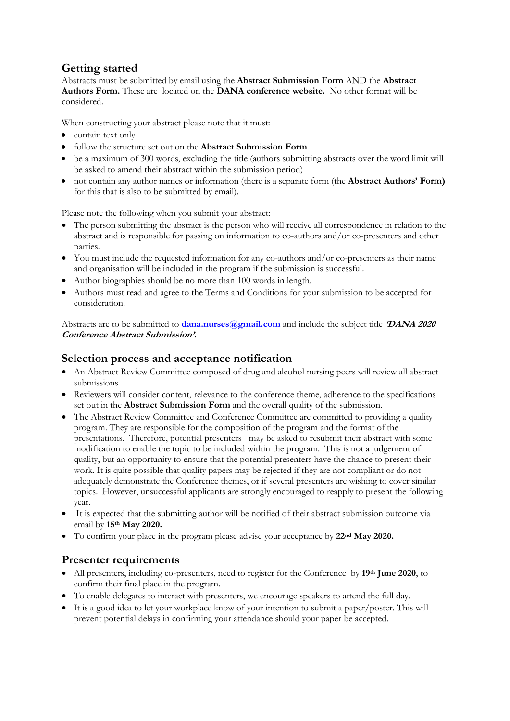# **Getting started**

Abstracts must be submitted by email using the **Abstract Submission Form** AND the **Abstract Authors Form.** These are located on the **DANA [conference website.](https://www.danaonline.org/danaevents/2020-conference/)** No other format will be considered.

When constructing your abstract please note that it must:

- contain text only
- follow the structure set out on the **Abstract Submission Form**
- be a maximum of 300 words, excluding the title (authors submitting abstracts over the word limit will be asked to amend their abstract within the submission period)
- not contain any author names or information (there is a separate form (the **Abstract Authors' Form)** for this that is also to be submitted by email).

Please note the following when you submit your abstract:

- The person submitting the abstract is the person who will receive all correspondence in relation to the abstract and is responsible for passing on information to co-authors and/or co-presenters and other parties.
- You must include the requested information for any co-authors and/or co-presenters as their name and organisation will be included in the program if the submission is successful.
- Author biographies should be no more than 100 words in length.
- Authors must read and agree to the Terms and Conditions for your submission to be accepted for consideration.

Abstracts are to be submitted to **[dana.nurses@gmail.com](mailto:dana.nurses@gmail.com)** and include the subject title **'DANA <sup>2020</sup> Conference Abstract Submission'.**

#### **Selection process and acceptance notification**

- An Abstract Review Committee composed of drug and alcohol nursing peers will review all abstract submissions
- Reviewers will consider content, relevance to the conference theme, adherence to the specifications set out in the **Abstract Submission Form** and the overall quality of the submission.
- The Abstract Review Committee and Conference Committee are committed to providing a quality program. They are responsible for the composition of the program and the format of the presentations. Therefore, potential presenters may be asked to resubmit their abstract with some modification to enable the topic to be included within the program. This is not a judgement of quality, but an opportunity to ensure that the potential presenters have the chance to present their work. It is quite possible that quality papers may be rejected if they are not compliant or do not adequately demonstrate the Conference themes, or if several presenters are wishing to cover similar topics. However, unsuccessful applicants are strongly encouraged to reapply to present the following year.
- It is expected that the submitting author will be notified of their abstract submission outcome via email by **15th May 2020.**
- To confirm your place in the program please advise your acceptance by **22nd May 2020.**

### **Presenter requirements**

- All presenters, including co-presenters, need to register for the Conference by **19th June 2020**, to confirm their final place in the program.
- To enable delegates to interact with presenters, we encourage speakers to attend the full day.
- It is a good idea to let your workplace know of your intention to submit a paper/poster. This will prevent potential delays in confirming your attendance should your paper be accepted.